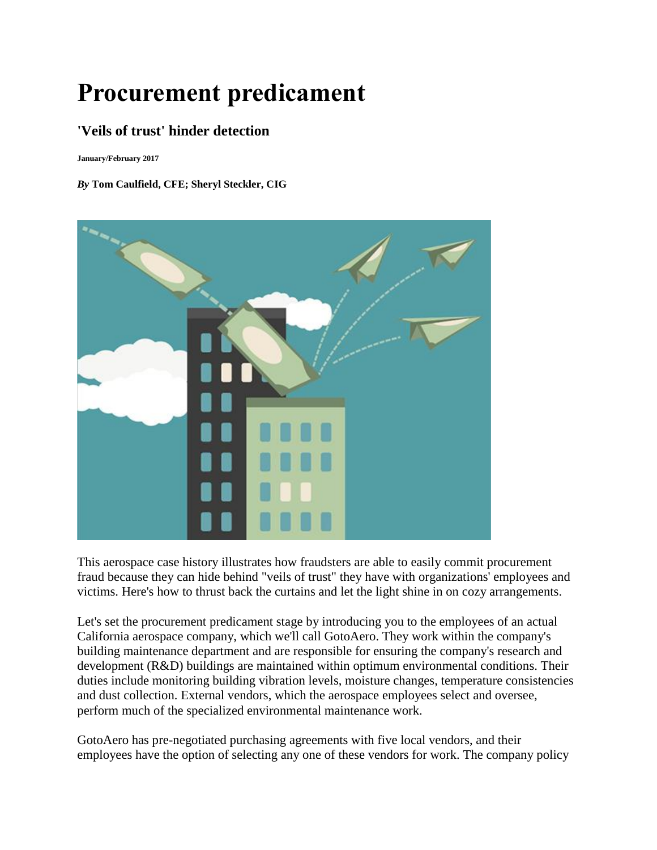# **Procurement predicament**

# **'Veils of trust' hinder detection**

**January/February 2017**

#### *By* **Tom Caulfield, CFE; Sheryl Steckler, CIG**



This aerospace case history illustrates how fraudsters are able to easily commit procurement fraud because they can hide behind "veils of trust" they have with organizations' employees and victims. Here's how to thrust back the curtains and let the light shine in on cozy arrangements.

Let's set the procurement predicament stage by introducing you to the employees of an actual California aerospace company, which we'll call GotoAero. They work within the company's building maintenance department and are responsible for ensuring the company's research and development (R&D) buildings are maintained within optimum environmental conditions. Their duties include monitoring building vibration levels, moisture changes, temperature consistencies and dust collection. External vendors, which the aerospace employees select and oversee, perform much of the specialized environmental maintenance work.

GotoAero has pre-negotiated purchasing agreements with five local vendors, and their employees have the option of selecting any one of these vendors for work. The company policy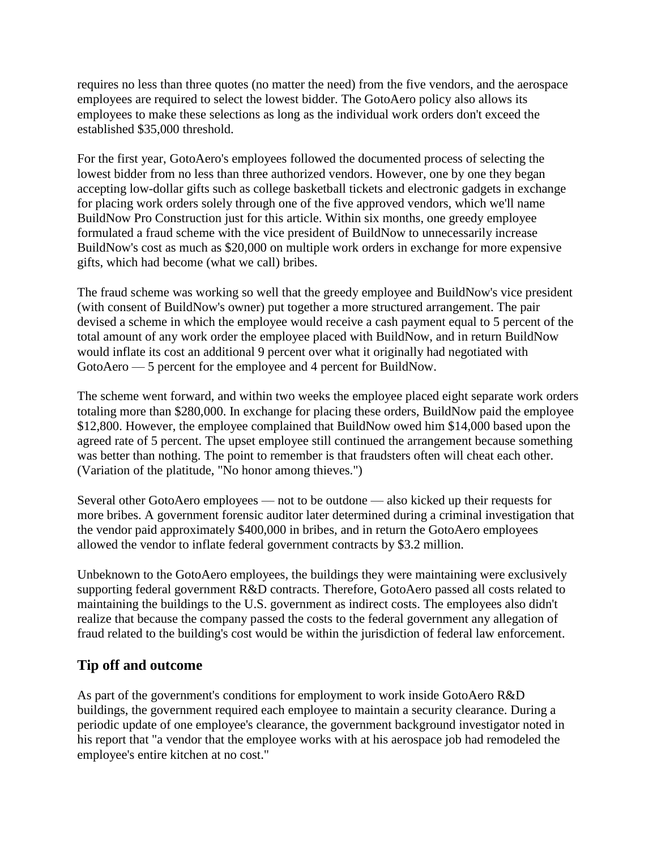requires no less than three quotes (no matter the need) from the five vendors, and the aerospace employees are required to select the lowest bidder. The GotoAero policy also allows its employees to make these selections as long as the individual work orders don't exceed the established \$35,000 threshold.

For the first year, GotoAero's employees followed the documented process of selecting the lowest bidder from no less than three authorized vendors. However, one by one they began accepting low-dollar gifts such as college basketball tickets and electronic gadgets in exchange for placing work orders solely through one of the five approved vendors, which we'll name BuildNow Pro Construction just for this article. Within six months, one greedy employee formulated a fraud scheme with the vice president of BuildNow to unnecessarily increase BuildNow's cost as much as \$20,000 on multiple work orders in exchange for more expensive gifts, which had become (what we call) bribes.

The fraud scheme was working so well that the greedy employee and BuildNow's vice president (with consent of BuildNow's owner) put together a more structured arrangement. The pair devised a scheme in which the employee would receive a cash payment equal to 5 percent of the total amount of any work order the employee placed with BuildNow, and in return BuildNow would inflate its cost an additional 9 percent over what it originally had negotiated with GotoAero — 5 percent for the employee and 4 percent for BuildNow.

The scheme went forward, and within two weeks the employee placed eight separate work orders totaling more than \$280,000. In exchange for placing these orders, BuildNow paid the employee \$12,800. However, the employee complained that BuildNow owed him \$14,000 based upon the agreed rate of 5 percent. The upset employee still continued the arrangement because something was better than nothing. The point to remember is that fraudsters often will cheat each other. (Variation of the platitude, "No honor among thieves.")

Several other GotoAero employees — not to be outdone — also kicked up their requests for more bribes. A government forensic auditor later determined during a criminal investigation that the vendor paid approximately \$400,000 in bribes, and in return the GotoAero employees allowed the vendor to inflate federal government contracts by \$3.2 million.

Unbeknown to the GotoAero employees, the buildings they were maintaining were exclusively supporting federal government R&D contracts. Therefore, GotoAero passed all costs related to maintaining the buildings to the U.S. government as indirect costs. The employees also didn't realize that because the company passed the costs to the federal government any allegation of fraud related to the building's cost would be within the jurisdiction of federal law enforcement.

## **Tip off and outcome**

As part of the government's conditions for employment to work inside GotoAero R&D buildings, the government required each employee to maintain a security clearance. During a periodic update of one employee's clearance, the government background investigator noted in his report that "a vendor that the employee works with at his aerospace job had remodeled the employee's entire kitchen at no cost."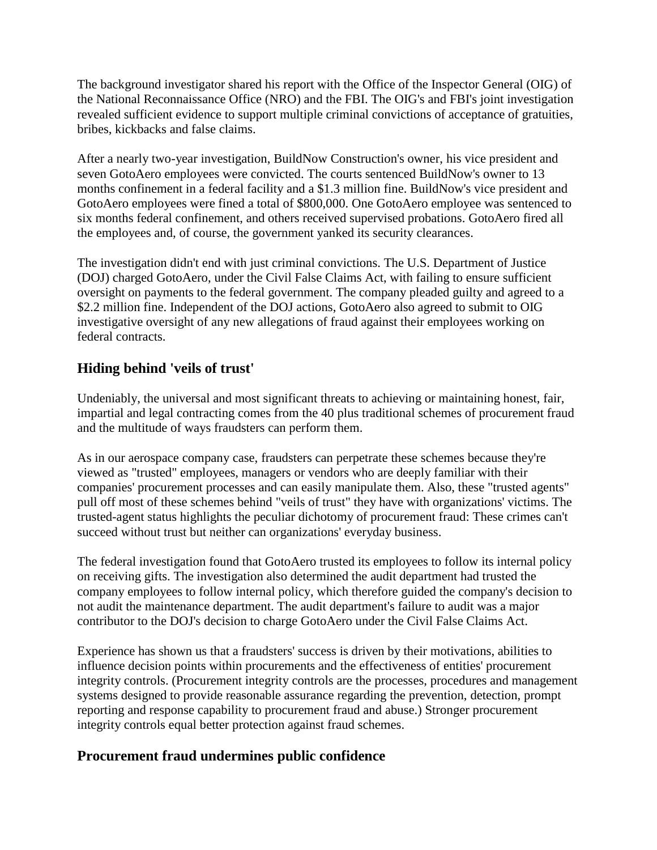The background investigator shared his report with the Office of the Inspector General (OIG) of the National Reconnaissance Office (NRO) and the FBI. The OIG's and FBI's joint investigation revealed sufficient evidence to support multiple criminal convictions of acceptance of gratuities, bribes, kickbacks and false claims.

After a nearly two-year investigation, BuildNow Construction's owner, his vice president and seven GotoAero employees were convicted. The courts sentenced BuildNow's owner to 13 months confinement in a federal facility and a \$1.3 million fine. BuildNow's vice president and GotoAero employees were fined a total of \$800,000. One GotoAero employee was sentenced to six months federal confinement, and others received supervised probations. GotoAero fired all the employees and, of course, the government yanked its security clearances.

The investigation didn't end with just criminal convictions. The U.S. Department of Justice (DOJ) charged GotoAero, under the Civil False Claims Act, with failing to ensure sufficient oversight on payments to the federal government. The company pleaded guilty and agreed to a \$2.2 million fine. Independent of the DOJ actions, GotoAero also agreed to submit to OIG investigative oversight of any new allegations of fraud against their employees working on federal contracts.

## **Hiding behind 'veils of trust'**

Undeniably, the universal and most significant threats to achieving or maintaining honest, fair, impartial and legal contracting comes from the 40 plus traditional schemes of procurement fraud and the multitude of ways fraudsters can perform them.

As in our aerospace company case, fraudsters can perpetrate these schemes because they're viewed as "trusted" employees, managers or vendors who are deeply familiar with their companies' procurement processes and can easily manipulate them. Also, these "trusted agents" pull off most of these schemes behind "veils of trust" they have with organizations' victims. The trusted-agent status highlights the peculiar dichotomy of procurement fraud: These crimes can't succeed without trust but neither can organizations' everyday business.

The federal investigation found that GotoAero trusted its employees to follow its internal policy on receiving gifts. The investigation also determined the audit department had trusted the company employees to follow internal policy, which therefore guided the company's decision to not audit the maintenance department. The audit department's failure to audit was a major contributor to the DOJ's decision to charge GotoAero under the Civil False Claims Act.

Experience has shown us that a fraudsters' success is driven by their motivations, abilities to influence decision points within procurements and the effectiveness of entities' procurement integrity controls. (Procurement integrity controls are the processes, procedures and management systems designed to provide reasonable assurance regarding the prevention, detection, prompt reporting and response capability to procurement fraud and abuse.) Stronger procurement integrity controls equal better protection against fraud schemes.

## **Procurement fraud undermines public confidence**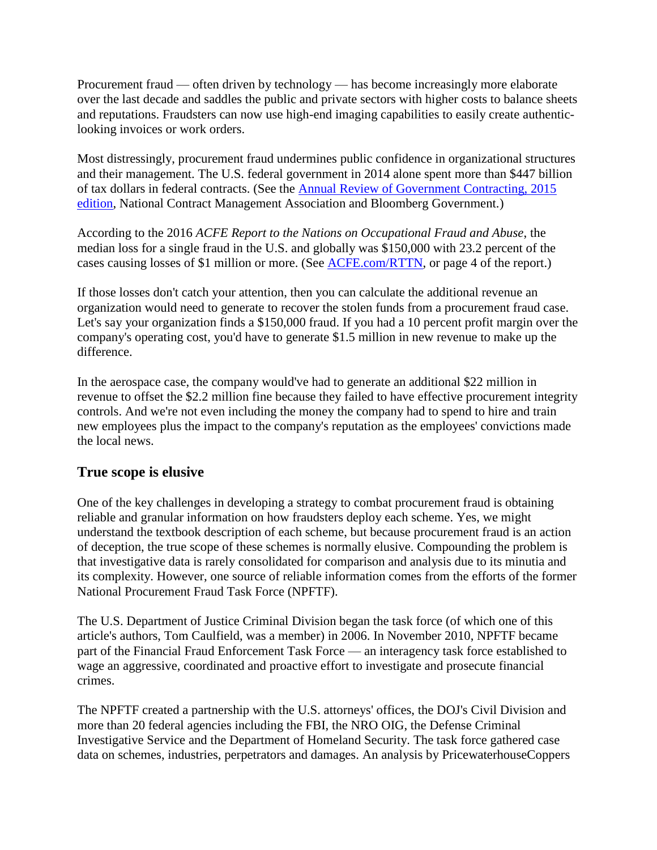Procurement fraud — often driven by technology — has become increasingly more elaborate over the last decade and saddles the public and private sectors with higher costs to balance sheets and reputations. Fraudsters can now use high-end imaging capabilities to easily create authenticlooking invoices or work orders.

Most distressingly, procurement fraud undermines public confidence in organizational structures and their management. The U.S. federal government in 2014 alone spent more than \$447 billion of tax dollars in federal contracts. (See the [Annual Review of Government Contracting, 2015](http://tinyurl.com/pjlrjdd)  [edition,](http://tinyurl.com/pjlrjdd) National Contract Management Association and Bloomberg Government.)

According to the 2016 *ACFE Report to the Nations on Occupational Fraud and Abuse*, the median loss for a single fraud in the U.S. and globally was \$150,000 with 23.2 percent of the cases causing losses of \$1 million or more. (See [ACFE.com/RTTN,](http://acfe.com/RTTN) or page 4 of the report.)

If those losses don't catch your attention, then you can calculate the additional revenue an organization would need to generate to recover the stolen funds from a procurement fraud case. Let's say your organization finds a \$150,000 fraud. If you had a 10 percent profit margin over the company's operating cost, you'd have to generate \$1.5 million in new revenue to make up the difference.

In the aerospace case, the company would've had to generate an additional \$22 million in revenue to offset the \$2.2 million fine because they failed to have effective procurement integrity controls. And we're not even including the money the company had to spend to hire and train new employees plus the impact to the company's reputation as the employees' convictions made the local news.

#### **True scope is elusive**

One of the key challenges in developing a strategy to combat procurement fraud is obtaining reliable and granular information on how fraudsters deploy each scheme. Yes, we might understand the textbook description of each scheme, but because procurement fraud is an action of deception, the true scope of these schemes is normally elusive. Compounding the problem is that investigative data is rarely consolidated for comparison and analysis due to its minutia and its complexity. However, one source of reliable information comes from the efforts of the former National Procurement Fraud Task Force (NPFTF).

The U.S. Department of Justice Criminal Division began the task force (of which one of this article's authors, Tom Caulfield, was a member) in 2006. In November 2010, NPFTF became part of the Financial Fraud Enforcement Task Force — an interagency task force established to wage an aggressive, coordinated and proactive effort to investigate and prosecute financial crimes.

The NPFTF created a partnership with the U.S. attorneys' offices, the DOJ's Civil Division and more than 20 federal agencies including the FBI, the NRO OIG, the Defense Criminal Investigative Service and the Department of Homeland Security. The task force gathered case data on schemes, industries, perpetrators and damages. An analysis by PricewaterhouseCoppers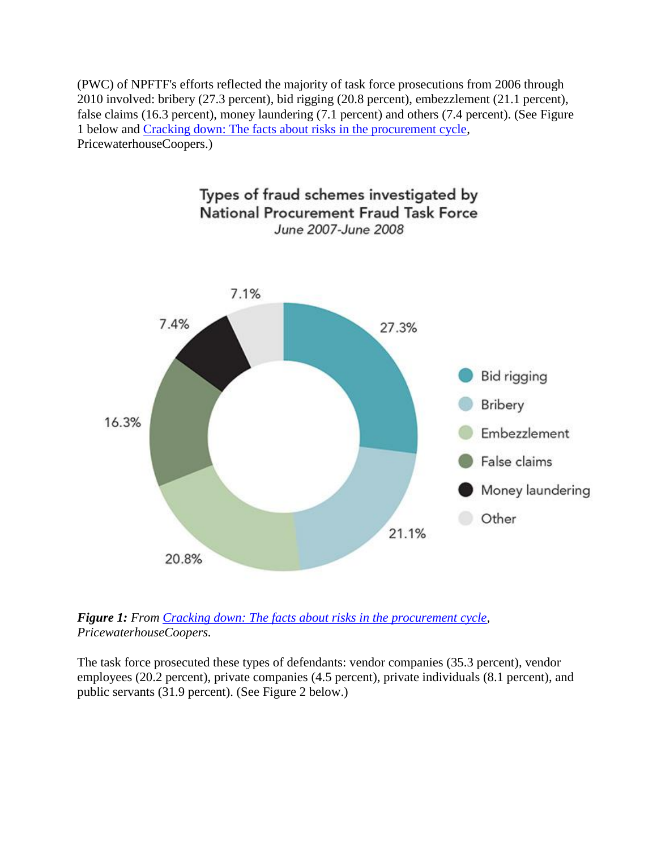(PWC) of NPFTF's efforts reflected the majority of task force prosecutions from 2006 through 2010 involved: bribery (27.3 percent), bid rigging (20.8 percent), embezzlement (21.1 percent), false claims (16.3 percent), money laundering (7.1 percent) and others (7.4 percent). (See Figure 1 below and [Cracking down: The facts about risks in the procurement cycle,](http://tinyurl.com/nt4wxx3) PricewaterhouseCoopers.)



*Figure 1: From [Cracking down: The facts about risks in the procurement cycle,](http://tinyurl.com/nt4wxx3) PricewaterhouseCoopers.*

The task force prosecuted these types of defendants: vendor companies (35.3 percent), vendor employees (20.2 percent), private companies (4.5 percent), private individuals (8.1 percent), and public servants (31.9 percent). (See Figure 2 below.)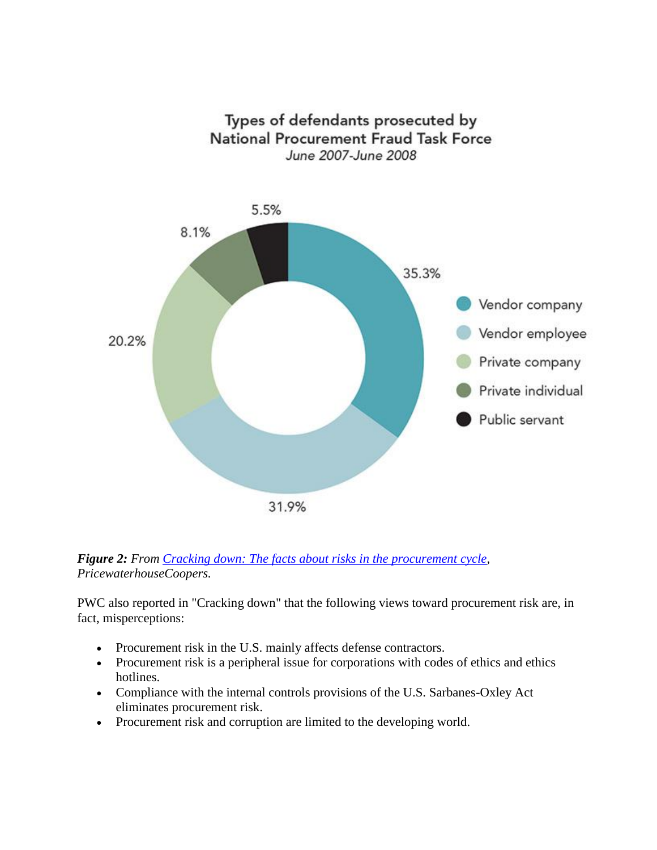



PWC also reported in "Cracking down" that the following views toward procurement risk are, in fact, misperceptions:

- Procurement risk in the U.S. mainly affects defense contractors.
- Procurement risk is a peripheral issue for corporations with codes of ethics and ethics hotlines.
- Compliance with the internal controls provisions of the U.S. Sarbanes-Oxley Act eliminates procurement risk.
- Procurement risk and corruption are limited to the developing world.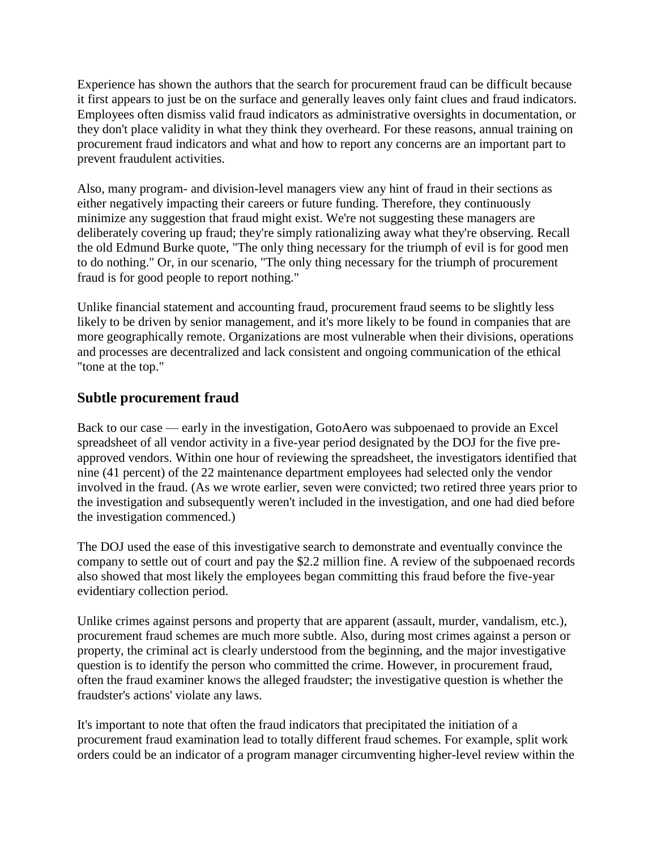Experience has shown the authors that the search for procurement fraud can be difficult because it first appears to just be on the surface and generally leaves only faint clues and fraud indicators. Employees often dismiss valid fraud indicators as administrative oversights in documentation, or they don't place validity in what they think they overheard. For these reasons, annual training on procurement fraud indicators and what and how to report any concerns are an important part to prevent fraudulent activities.

Also, many program- and division-level managers view any hint of fraud in their sections as either negatively impacting their careers or future funding. Therefore, they continuously minimize any suggestion that fraud might exist. We're not suggesting these managers are deliberately covering up fraud; they're simply rationalizing away what they're observing. Recall the old Edmund Burke quote, "The only thing necessary for the triumph of evil is for good men to do nothing." Or, in our scenario, "The only thing necessary for the triumph of procurement fraud is for good people to report nothing."

Unlike financial statement and accounting fraud, procurement fraud seems to be slightly less likely to be driven by senior management, and it's more likely to be found in companies that are more geographically remote. Organizations are most vulnerable when their divisions, operations and processes are decentralized and lack consistent and ongoing communication of the ethical "tone at the top."

#### **Subtle procurement fraud**

Back to our case — early in the investigation, GotoAero was subpoenaed to provide an Excel spreadsheet of all vendor activity in a five-year period designated by the DOJ for the five preapproved vendors. Within one hour of reviewing the spreadsheet, the investigators identified that nine (41 percent) of the 22 maintenance department employees had selected only the vendor involved in the fraud. (As we wrote earlier, seven were convicted; two retired three years prior to the investigation and subsequently weren't included in the investigation, and one had died before the investigation commenced.)

The DOJ used the ease of this investigative search to demonstrate and eventually convince the company to settle out of court and pay the \$2.2 million fine. A review of the subpoenaed records also showed that most likely the employees began committing this fraud before the five-year evidentiary collection period.

Unlike crimes against persons and property that are apparent (assault, murder, vandalism, etc.), procurement fraud schemes are much more subtle. Also, during most crimes against a person or property, the criminal act is clearly understood from the beginning, and the major investigative question is to identify the person who committed the crime. However, in procurement fraud, often the fraud examiner knows the alleged fraudster; the investigative question is whether the fraudster's actions' violate any laws.

It's important to note that often the fraud indicators that precipitated the initiation of a procurement fraud examination lead to totally different fraud schemes. For example, split work orders could be an indicator of a program manager circumventing higher-level review within the